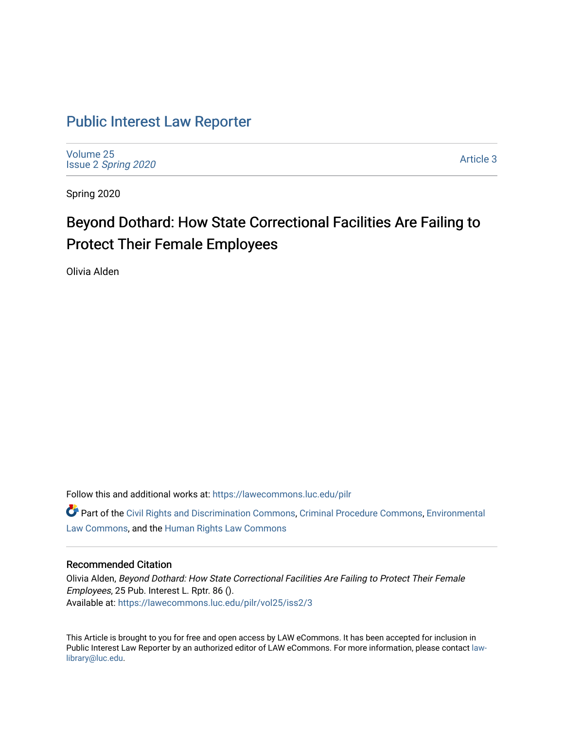# [Public Interest Law Reporter](https://lawecommons.luc.edu/pilr)

[Volume 25](https://lawecommons.luc.edu/pilr/vol25) Issue 2 [Spring 2020](https://lawecommons.luc.edu/pilr/vol25/iss2) 

[Article 3](https://lawecommons.luc.edu/pilr/vol25/iss2/3) 

Spring 2020

# Beyond Dothard: How State Correctional Facilities Are Failing to Protect Their Female Employees

Olivia Alden

Follow this and additional works at: [https://lawecommons.luc.edu/pilr](https://lawecommons.luc.edu/pilr?utm_source=lawecommons.luc.edu%2Fpilr%2Fvol25%2Fiss2%2F3&utm_medium=PDF&utm_campaign=PDFCoverPages) 

Part of the [Civil Rights and Discrimination Commons,](http://network.bepress.com/hgg/discipline/585?utm_source=lawecommons.luc.edu%2Fpilr%2Fvol25%2Fiss2%2F3&utm_medium=PDF&utm_campaign=PDFCoverPages) [Criminal Procedure Commons,](http://network.bepress.com/hgg/discipline/1073?utm_source=lawecommons.luc.edu%2Fpilr%2Fvol25%2Fiss2%2F3&utm_medium=PDF&utm_campaign=PDFCoverPages) [Environmental](http://network.bepress.com/hgg/discipline/599?utm_source=lawecommons.luc.edu%2Fpilr%2Fvol25%2Fiss2%2F3&utm_medium=PDF&utm_campaign=PDFCoverPages)  [Law Commons,](http://network.bepress.com/hgg/discipline/599?utm_source=lawecommons.luc.edu%2Fpilr%2Fvol25%2Fiss2%2F3&utm_medium=PDF&utm_campaign=PDFCoverPages) and the [Human Rights Law Commons](http://network.bepress.com/hgg/discipline/847?utm_source=lawecommons.luc.edu%2Fpilr%2Fvol25%2Fiss2%2F3&utm_medium=PDF&utm_campaign=PDFCoverPages)

# Recommended Citation

Olivia Alden, Beyond Dothard: How State Correctional Facilities Are Failing to Protect Their Female Employees, 25 Pub. Interest L. Rptr. 86 (). Available at: [https://lawecommons.luc.edu/pilr/vol25/iss2/3](https://lawecommons.luc.edu/pilr/vol25/iss2/3?utm_source=lawecommons.luc.edu%2Fpilr%2Fvol25%2Fiss2%2F3&utm_medium=PDF&utm_campaign=PDFCoverPages)

This Article is brought to you for free and open access by LAW eCommons. It has been accepted for inclusion in Public Interest Law Reporter by an authorized editor of LAW eCommons. For more information, please contact [law](mailto:law-library@luc.edu)[library@luc.edu.](mailto:law-library@luc.edu)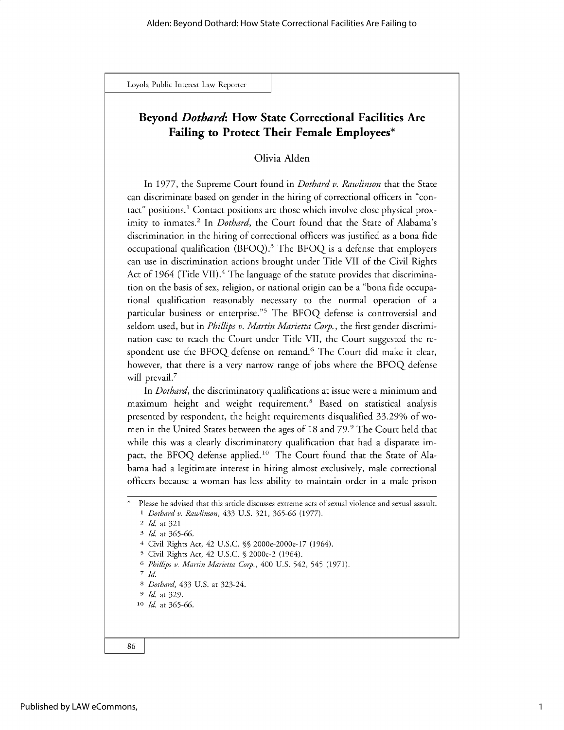# **Beyond** *Dothard:* **How State Correctional Facilities Are Failing to Protect Their Female Employees\***

# Olivia Alden

In 1977, the Supreme Court found in *Dothard v. Rawlinson* that the State can discriminate based on gender in the hiring of correctional officers in "contact" positions.1 Contact positions are those which involve close physical proximity to inmates.<sup>2</sup> In *Dothard*, the Court found that the State of Alabama's discrimination in the hiring of correctional officers was justified as a bona fide occupational qualification (BFOQ).<sup>3</sup> The BFOQ is a defense that employers can use in discrimination actions brought under Title VII of the Civil Rights Act of 1964 (Title VII).<sup>4</sup> The language of the statute provides that discrimination on the basis of sex, religion, or national origin can be a "bona fide occupational qualification reasonably necessary to the normal operation of a particular business or enterprise."5 The BFOQ defense is controversial and seldom used, but in *Phillips v. Martin Marietta Corp.,* the first gender discrimination case to reach the Court under Title VII, the Court suggested the respondent use the BFOQ defense on remand.<sup>6</sup> The Court did make it clear, however, that there is a very narrow range of jobs where the BFOQ defense will prevail.<sup>7</sup>

In *Dothard,* the discriminatory qualifications at issue were a minimum and maximum height and weight requirement.<sup>8</sup> Based on statistical analysis presented by respondent, the height requirements disqualified 33.29% of women in the United States between the ages of 18 and 79.<sup>9</sup> The Court held that while this was a clearly discriminatory qualification that had a disparate impact, the BFOQ defense applied.<sup>10</sup> The Court found that the State of Alabama had a legitimate interest in hiring almost exclusively, male correctional officers because a woman has less ability to maintain order in a male prison

- 5 Civil Rights Act, 42 U.S.C. § 2000e-2 (1964).
- **<sup>6</sup>***Phillips v. Martin Marietta Corp.,* 400 U.S. 542, 545 (1971).
- *7 Id.*

**<sup>8</sup>***Dothard, 433* U.S. at *323-24.*

- *9 Id.* at 329.
- **<sup>10</sup>***Id.* at *365-66.*



Please be advised that this article discusses extreme acts of sexual violence and sexual assault. *<sup>1</sup>Dothard v. Rawlinson, 433* U.S. 321, *365-66* (1977).

*<sup>2</sup> Id.* at 321

*<sup>3</sup> Id.* at *365-66.*

<sup>4</sup> Civil Rights Act, 42 U.S.C. %% 2000e-2000e-17 (1964).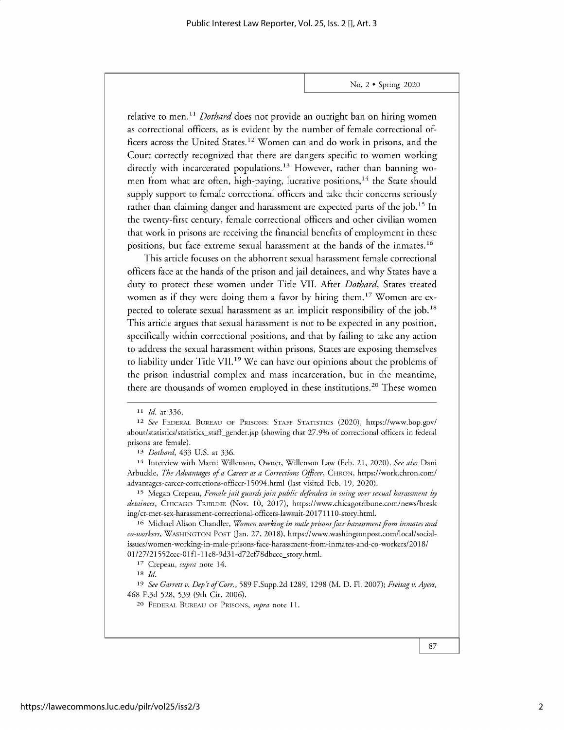relative to men.<sup>11</sup> Dothard does not provide an outright ban on hiring women as correctional officers, as is evident by the number of female correctional officers across the United States.<sup>12</sup> Women can and do work in prisons, and the Court correctly recognized that there are dangers specific to women working directly with incarcerated populations.<sup>13</sup> However, rather than banning women from what are often, high-paying, lucrative positions,<sup>14</sup> the State should supply support to female correctional officers and take their concerns seriously rather than claiming danger and harassment are expected parts of the job.<sup>15</sup> In the twenty-first century, female correctional officers and other civilian women that work in prisons are receiving the financial benefits of employment in these positions, but face extreme sexual harassment at the hands of the inmates.<sup>16</sup>

This article focuses on the abhorrent sexual harassment female correctional officers face at the hands of the prison and jail detainees, and why States have a duty to protect these women under Title VII. After Dothard, States treated women as if they were doing them a favor by hiring them.<sup>17</sup> Women are expected to tolerate sexual harassment as an implicit responsibility of the job.<sup>18</sup> This article argues that sexual harassment is not to be expected in any position, specifically within correctional positions, and that by failing to take any action to address the sexual harassment within prisons, States are exposing themselves to liability under Title VII.<sup>19</sup> We can have our opinions about the problems of the prison industrial complex and mass incarceration, but in the meantime, there are thousands of women employed in these institutions.<sup>20</sup> These women

**<sup>11</sup>**Id. at 336.

**<sup>12</sup>** See **FEDERAL BUREAU OF PRISONS: STAFF STATISTICS** (2020), https://www.bop.gov/ about/statistics/statistics\_staff\_gender.jsp (showing that 27.9% of correctional officers in federal prisons are female).

**<sup>13</sup>** *Dothard, 433* U.S. at 336.

**<sup>14</sup>**Interview with Marni Willenson, Owner, Willenson Law (Feb. 21, 2020). *See also* Dani Arbuckle, *The Advantages of a Career as a Corrections Officer,* **CHRON,** https://work.chron.com/ advantages-career-corrections-officer-15094.html (last visited Feb. 19, 2020).

**<sup>15</sup>**Megan Crepeau, *Female jail guards join public defenders in suing over sexual harassment by detainees,* **CHICAGO TRIBUNE** (Nov. 10, 2017), https://www.chicagotribune.com/news/break ing/ct-met-sex-harassment-correctional-officers-lawsuit-20171110-story.html.

**<sup>16</sup>**Michael Alison Chandler, *Women working in male prisons face harassment from inmates and co-workers,* **WASHINGTON POST** (Jan. 27, 2018), https://www.washingtonpost.com/local/socialissues/women-working-in-male-prisons-face-harassment-from-inmates-and-co-workers/2018/ 01/27/21552cee-01f1-11e8-9d31-d72cf78dbeee\_story.html.

**<sup>17</sup>** Crepeau, *supra* note 14.

*<sup>18</sup>Id.*

**<sup>19</sup>***See Garrett v. Dep't of Corr.,* 589 F.Supp.2d 1289, 1298 (M. D. Fl. 2007); *Freitag v. Ayers,* 468 F.3d 528, 539 (9th Cir. **2006).**

**<sup>20</sup> FEDERAL BUREAU OF PRISONS,** *supra* note 11.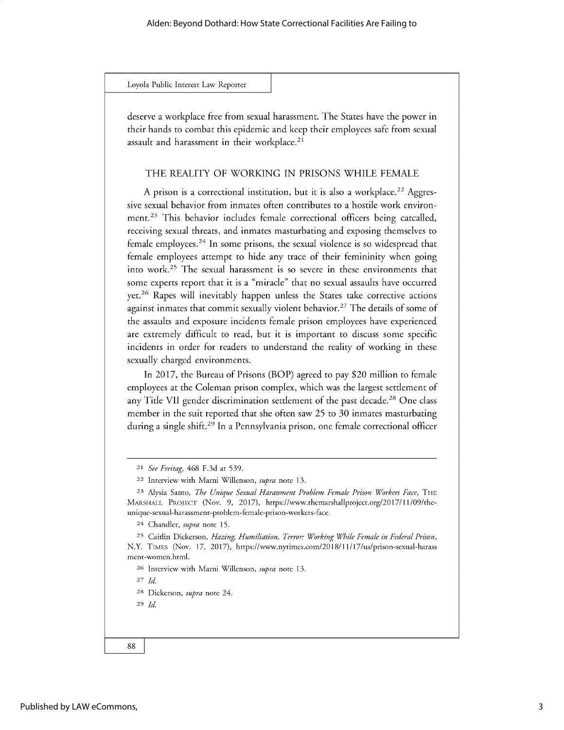deserve a workplace free from sexual harassment. The States have the power in their hands to combat this epidemic and keep their employees safe from sexual assault and harassment in their workplace.<sup>21</sup>

# THE REALITY OF WORKING IN PRISONS WHILE FEMALE

A prison is a correctional institution, but it is also a workplace.<sup>22</sup> Aggressive sexual behavior from inmates often contributes to a hostile work environment.<sup>23</sup> This behavior includes female correctional officers being catcalled, receiving sexual threats, and inmates masturbating and exposing themselves to female employees. $24$  In some prisons, the sexual violence is so widespread that female employees attempt to hide any trace of their femininity when going into work.<sup>25</sup> The sexual harassment is so severe in these environments that some experts report that it is a "miracle" that no sexual assaults have occurred yet.<sup>26</sup> Rapes will inevitably happen unless the States take corrective actions against inmates that commit sexually violent behavior.<sup>27</sup> The details of some of the assaults and exposure incidents female prison employees have experienced are extremely difficult to read, but it is important to discuss some specific incidents in order for readers to understand the reality of working in these sexually charged environments.

In 2017, the Bureau of Prisons (BOP) agreed to pay \$20 million to female employees at the Coleman prison complex, which was the largest settlement of any Title VII gender discrimination settlement of the past decade.<sup>28</sup> One class member in the suit reported that she often saw 25 to 30 inmates masturbating during a single shift.<sup>29</sup> In a Pennsylvania prison, one female correctional officer

<sup>24</sup>Chandler, *supra* note 15.

25 Caitlin Dickerson, *Hazing, Humiliation, Terror: Working While Female in Federal Prison,* N.Y. TIMES (Nov. 17, 2017), https://www.nytimes.com/2018/11/17/us/prison-sexual-harass ment-women.html.

**<sup>26</sup>**Interview with Marni Willenson, *supra* note 13.

27 *Id*

28 Dickerson, *supra* note 24.

29 *Id*

<sup>21</sup>*See Freitag,* 468 F.3d at 539.

<sup>22</sup>Interview with Marni Willenson, *supra* note 13.

**<sup>23</sup>** Alysia Santo, *The Unique Sexual Harassment Problem Female Prison Workers Face,* THE MARSHALL PROJECT (Nov. 9, 2017), https://www.themarshallproject.org/2017/11/09/theunique-sexual-harassment-problem-female-prison-workers-face.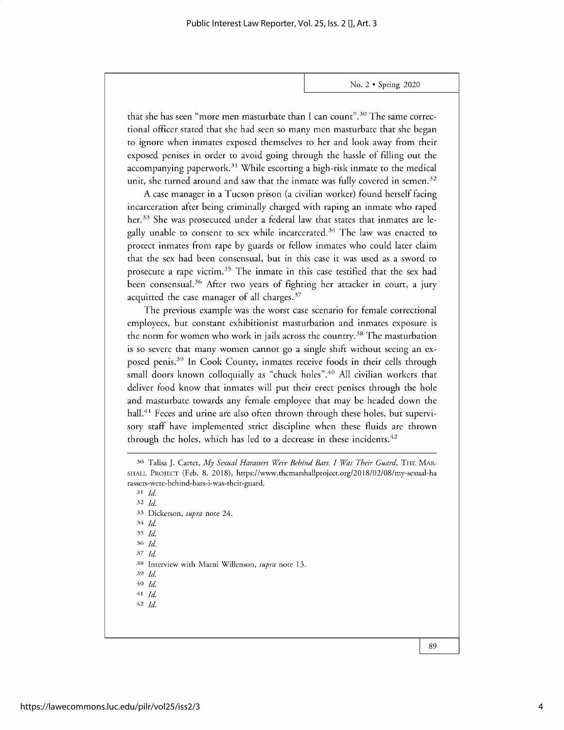**that she has seen "more men masturbate than I can count".30 The same correctional officer stated that she had seen so many men masturbate that she began to ignore when inmates exposed themselves to her and look away from their exposed penises in order to avoid going through the hassle of filling out the accompanying paperwork.31 While escorting a high-risk inmate to the medical unit, she turned around and saw that the inmate was fully covered in semen. <sup>3</sup><sup>2</sup>**

**A case manager in a Tucson prison (a civilian worker) found herself facing incarceration after being criminally charged with raping an inmate who raped her.33 She was prosecuted under a federal law that states that inmates are legally unable to consent to sex while** incarcerated. <sup>3</sup>4 **The law was enacted to protect inmates from rape by guards or fellow inmates who could later claim that the sex had been consensual, but in this case it was used as a sword to** prosecute a rape victim.<sup>35</sup> The inmate in this case testified that the sex had **been** consensual. <sup>3</sup>6 **After two years of fighting her attacker in court, a jury acquitted the case manager of all charges.<sup>37</sup>**

**The previous example was the worst case scenario for female correctional employees, but constant exhibitionist masturbation and inmates exposure is the norm for women who work in jails across the country.38 The masturbation is so severe that many women cannot go a single shift without seeing an exposed penis.3 9 In Cook County, inmates receive foods in their cells through small doors known colloquially as "chuck holes". <sup>40</sup>All civilian workers that deliver food know that inmates will put their erect penises through the hole and masturbate towards any female employee that may be headed down the** hall.<sup>41</sup> Feces and urine are also often thrown through these holes, but supervi**sory staff have implemented strict discipline when these fluids are thrown through the holes, which has led to a decrease in these incidents. <sup>4</sup><sup>2</sup>**

*31 Id 32 Id 33* **Dickerson,** *supra* **note 24.** 34 *Id* <sup>35</sup>*Id* <sup>36</sup>' *Id* 37 *Id 38* **Interview with Marni Willenson,** *supra* **note 13.** 39 *Id* **40** *Id* **41** *Id* **42** *Id*

**<sup>30</sup>Talisa** J. Carter, *My Sexual Harassers Were Behind Bars. I Was Their Guard,* THE MAR-**SHALL PROJECT (Feb. 8, 2018), https://www.themarshallproject.org/2018/02/08/my-sexual-ha rassers-were-behind-bars-i-was-their-guard.**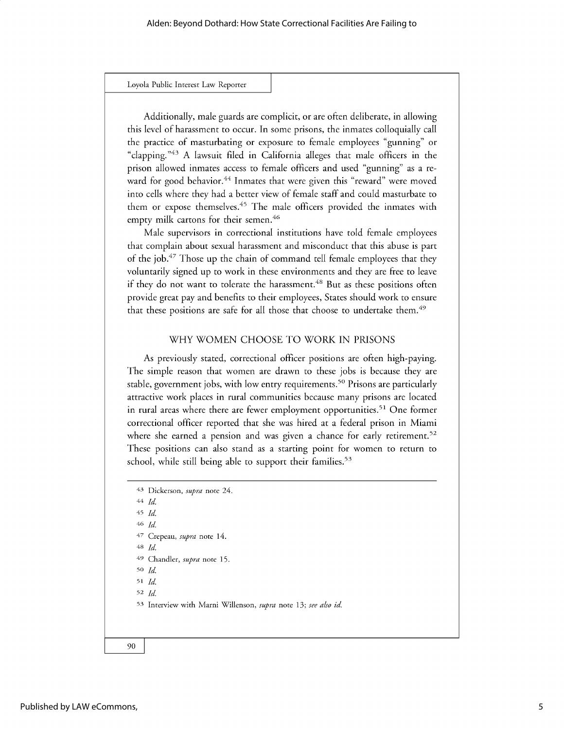Additionally, male guards are complicit, or are often deliberate, in allowing this level of harassment to occur. In some prisons, the inmates colloquially call the practice of masturbating or exposure to female employees "gunning" or "clapping."<sup>43</sup> A lawsuit filed in California alleges that male officers in the prison allowed inmates access to female officers and used "gunning" as a reward for good behavior.<sup>44</sup> Inmates that were given this "reward" were moved into cells where they had a better view of female staff and could masturbate to them or expose themselves.<sup>45</sup> The male officers provided the inmates with empty milk cartons for their semen. <sup>46</sup>

Male supervisors in correctional institutions have told female employees that complain about sexual harassment and misconduct that this abuse is part of the job.<sup>47</sup> Those up the chain of command tell female employees that they voluntarily signed up to work in these environments and they are free to leave if they do not want to tolerate the harassment.<sup>48</sup> But as these positions often provide great pay and benefits to their employees, States should work to ensure that these positions are safe for all those that choose to undertake them.<sup>49</sup>

## WHY WOMEN CHOOSE TO WORK IN PRISONS

As previously stated, correctional officer positions are often high-paying. The simple reason that women are drawn to these jobs is because they are stable, government jobs, with low entry requirements.<sup>50</sup> Prisons are particularly attractive work places in rural communities because many prisons are located in rural areas where there are fewer employment opportunities.<sup>51</sup> One former correctional officer reported that she was hired at a federal prison in Miami where she earned a pension and was given a chance for early retirement.<sup>52</sup> These positions can also stand as a starting point for women to return to school, while still being able to support their families.<sup>53</sup>

<sup>43</sup> Dickerson, *supra* note 24. 44 *Id* 45 *Id* 46 *Id* 47 Crepeau, *supra* note 14. 48 *Id* 49 Chandler, *supra* note 15. **50** *Id* <sup>51</sup>*Id.* 52 *Id.* 53 Interview with Marni Willenson, *supra* note *13; see also id.*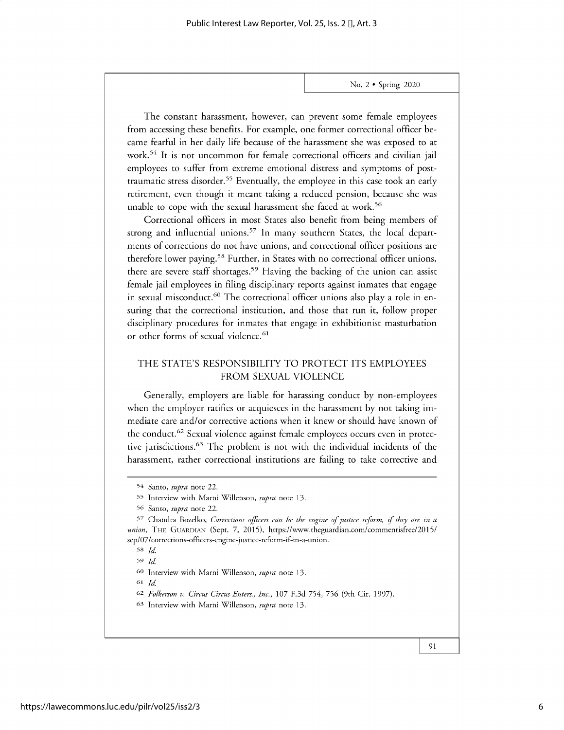The constant harassment, however, can prevent some female employees from accessing these benefits. For example, one former correctional officer became fearful in her daily life because of the harassment she was exposed to at work.<sup>5</sup>4 It is not uncommon for female correctional officers and civilian jail employees to suffer from extreme emotional distress and symptoms of posttraumatic stress disorder.<sup>55</sup> Eventually, the employee in this case took an early retirement, even though it meant taking a reduced pension, because she was unable to cope with the sexual harassment she faced at work.<sup>56</sup>

Correctional officers in most States also benefit from being members of strong and influential unions.<sup>57</sup> In many southern States, the local departments of corrections do not have unions, and correctional officer positions are therefore lower paying.<sup>58</sup> Further, in States with no correctional officer unions, there are severe staff shortages.59 Having the backing of the union can assist female jail employees in filing disciplinary reports against inmates that engage in sexual misconduct.<sup>60</sup> The correctional officer unions also play a role in ensuring that the correctional institution, and those that run it, follow proper disciplinary procedures for inmates that engage in exhibitionist masturbation or other forms of sexual violence.<sup>61</sup>

# THE STATE'S RESPONSIBILITY TO PROTECT ITS EMPLOYEES FROM SEXUAL VIOLENCE

Generally, employers are liable for harassing conduct by non-employees when the employer ratifies or acquiesces in the harassment by not taking immediate care and/or corrective actions when it knew or should have known of the conduct.<sup>62</sup> Sexual violence against female employees occurs even in protective jurisdictions.<sup>63</sup> The problem is not with the individual incidents of the harassment, rather correctional institutions are failing to take corrective and

**<sup>61</sup>***Id*

- *62 Folkerson v. Circus Circus Enters., Inc.,* 107 F.3d 754, 756 (9th Cir. 1997).
- **<sup>63</sup>**Interview with Marni Willenson, *supra* note 13.

<sup>54</sup> Santo, *supra* note 22.

**<sup>55</sup>** Interview with Marni Willenson, *supra* note 13.

**<sup>56</sup>** Santo, *supra* note 22.

<sup>57</sup>Chandra Bozelko, *Corrections officers can be the engine of justice reform, if they are in a union,* **THE GUARDIAN** (Sept. 7, 2015), https://www.theguardian.com/commentisfree/2015/ sep/07/corrections-officers-engine-justice-reform-if-in-a-union.

<sup>58</sup>*Id.*

<sup>59</sup>*Id*

**<sup>60</sup>**Interview with Marni Willenson, *supra* note 13.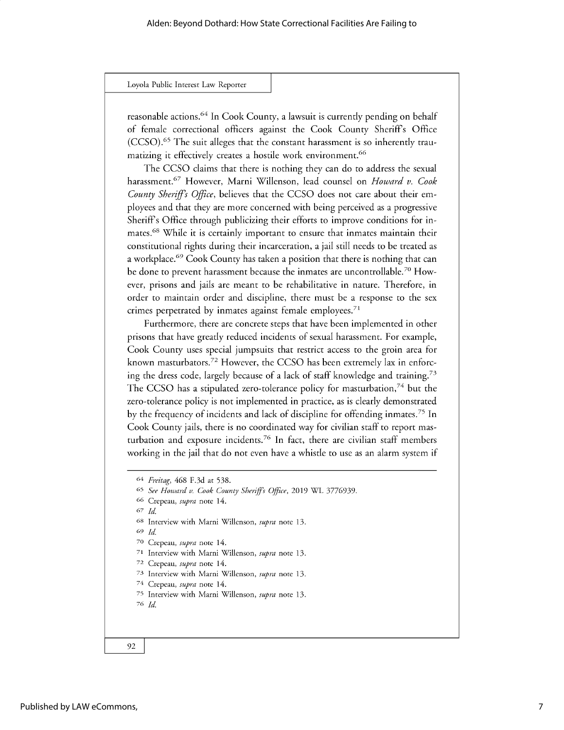reasonable actions.<sup>64</sup> In Cook County, a lawsuit is currently pending on behalf of female correctional officers against the Cook County Sheriffs Office (CCSO).<sup>65</sup> The suit alleges that the constant harassment is so inherently traumatizing it effectively creates a hostile work environment.<sup>66</sup>

The CCSO claims that there is nothing they can do to address the sexual harassment.<sup>67</sup> However, Marni Willenson, lead counsel on *Howard v. Cook County Sheriffs Office,* believes that the CCSO does not care about their employees and that they are more concerned with being perceived as a progressive Sheriffs Office through publicizing their efforts to improve conditions for inmates.<sup>68</sup> While it is certainly important to ensure that inmates maintain their constitutional rights during their incarceration, a jail still needs to be treated as a workplace.<sup>69</sup> Cook County has taken a position that there is nothing that can be done to prevent harassment because the inmates are uncontrollable.<sup>70</sup> However, prisons and jails are meant to be rehabilitative in nature. Therefore, in order to maintain order and discipline, there must be a response to the sex crimes perpetrated by inmates against female employees.<sup>71</sup>

Furthermore, there are concrete steps that have been implemented in other prisons that have greatly reduced incidents of sexual harassment. For example, Cook County uses special jumpsuits that restrict access to the groin area for known masturbators.<sup>72</sup> However, the CCSO has been extremely lax in enforcing the dress code, largely because of a lack of staff knowledge and training.<sup>73</sup> The CCSO has a stipulated zero-tolerance policy for masturbation, $74$  but the zero-tolerance policy is not implemented in practice, as is clearly demonstrated by the frequency of incidents and lack of discipline for offending inmates.<sup>75</sup> In Cook County jails, there is no coordinated way for civilian staff to report masturbation and exposure incidents.<sup>76</sup> In fact, there are civilian staff members working in the jail that do not even have a whistle to use as an alarm system if

68 Interview with Marni Willenson, *supra* note 13.

- **70** Crepeau, *supra* note 14.
- 71 Interview with Marni Willenson, *supra* note 13.

- 73 Interview with Marni Willenson, *supra* note 13.
- 74 Crepeau, *supra* note 14.
- 75 Interview with Marni Willenson, *supra* note 13.

<sup>76</sup>*Id*

<sup>64</sup> *Freitag,* 468 F.3d at 538.

<sup>65</sup>*See Howard v. Cook County Sheriffs Office,* 2019 WL *3776939.*

<sup>66</sup> Crepeau, *supra* note 14.

*<sup>67</sup> Id*

<sup>69</sup>*Id*

<sup>72</sup> Crepeau, *supra* note 14.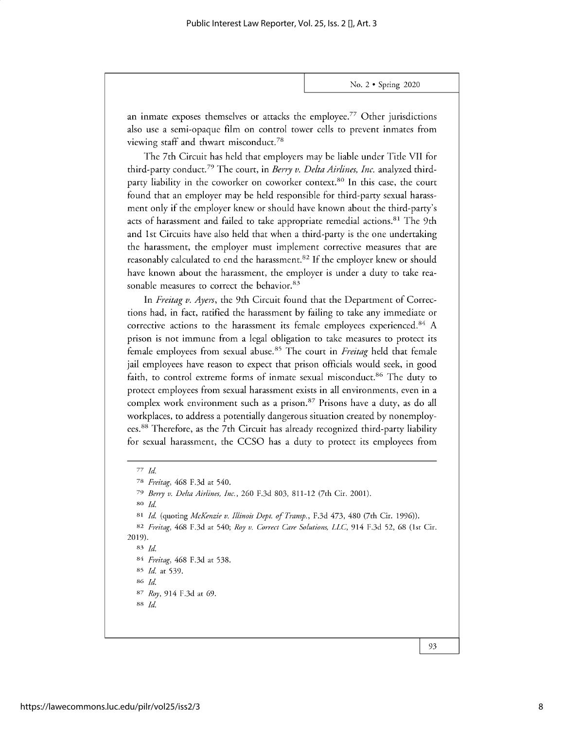an inmate exposes themselves or attacks the employee.<sup>77</sup> Other jurisdictions also use a semi-opaque film on control tower cells to prevent inmates from viewing staff and thwart misconduct.<sup>78</sup>

The 7th Circuit has held that employers may be liable under Title VII for third-party conduct.<sup>79</sup> The court, in *Berry v. Delta Airlines, Inc.* analyzed thirdparty liability in the coworker on coworker context.<sup>80</sup> In this case, the court found that an employer may be held responsible for third-party sexual harassment only if the employer knew or should have known about the third-party's acts of harassment and failed to take appropriate remedial actions.<sup>81</sup> The 9th and 1st Circuits have also held that when a third-party is the one undertaking the harassment, the employer must implement corrective measures that are reasonably calculated to end the harassment.<sup>82</sup> If the employer knew or should have known about the harassment, the employer is under a duty to take reasonable measures to correct the behavior.<sup>83</sup>

In *Freitag v. Ayers,* the 9th Circuit found that the Department of Corrections had, in fact, ratified the harassment by failing to take any immediate or corrective actions to the harassment its female employees experienced.<sup>84</sup> A prison is not immune from a legal obligation to take measures to protect its female employees from sexual abuse.85 The court in *Freitag* held that female jail employees have reason to expect that prison officials would seek, in good faith, to control extreme forms of inmate sexual misconduct.<sup>86</sup> The duty to protect employees from sexual harassment exists in all environments, even in a complex work environment such as a prison.<sup>87</sup> Prisons have a duty, as do all workplaces, to address a potentially dangerous situation created by nonemployees.<sup>88</sup> Therefore, as the 7th Circuit has already recognized third-party liability for sexual harassment, the CCSO has a duty to protect its employees from

80 *Id.*

<sup>81</sup>*Id* (quoting *McKenzie v. Illinois Dept. of Transp., F.3d 473,* 480 (7th Cir. 1996)).

**<sup>83</sup>***Id*

*<sup>77</sup> Id.*

<sup>78</sup>*Freitag,* 468 F.3d at 540.

*<sup>79</sup> Berry v. Delta Airlines, Inc.,* 260 F.3d 803, 811-12 (7th Cir. 2001).

<sup>82</sup> *Freitag,* 468 F.3d at 540; *Roy v. Correct Care Solutions, LLC,* 914 F.3d 52, 68 (1st Cir. 2019).

<sup>84</sup>*Freitag,* 468 F.3d at 538.

<sup>85</sup> *Id.* at 539.

<sup>86</sup> *Id*

*<sup>87</sup> Roy,* 914 F.3d at 69.

<sup>88</sup>*Id*